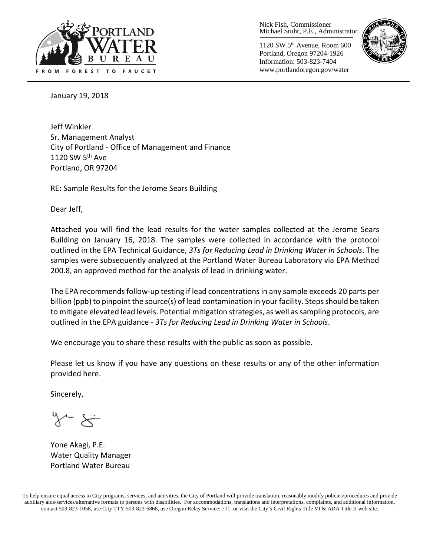

Nick Fish, Commissioner Michael Stuhr, P.E., Administrator

1120 SW 5th Avenue, Room 600 Portland, Oregon 97204-1926 Information: 503-823-7404 www.portlandoregon.gov/water



January 19, 2018

Jeff Winkler Sr. Management Analyst City of Portland - Office of Management and Finance 1120 SW 5<sup>th</sup> Ave Portland, OR 97204

RE: Sample Results for the Jerome Sears Building

Dear Jeff,

Attached you will find the lead results for the water samples collected at the Jerome Sears Building on January 16, 2018. The samples were collected in accordance with the protocol outlined in the EPA Technical Guidance, *3Ts for Reducing Lead in Drinking Water in Schools*. The samples were subsequently analyzed at the Portland Water Bureau Laboratory via EPA Method 200.8, an approved method for the analysis of lead in drinking water.

The EPA recommends follow-up testing if lead concentrations in any sample exceeds 20 parts per billion (ppb) to pinpoint the source(s) of lead contamination in your facility. Steps should be taken to mitigate elevated lead levels. Potential mitigation strategies, as well as sampling protocols, are outlined in the EPA guidance - *3Ts for Reducing Lead in Drinking Water in Schools*.

We encourage you to share these results with the public as soon as possible.

Please let us know if you have any questions on these results or any of the other information provided here.

Sincerely,

Yone Akagi, P.E. Water Quality Manager Portland Water Bureau

To help ensure equal access to City programs, services, and activities, the City of Portland will provide translation, reasonably modify policies/procedures and provide auxiliary aids/services/alternative formats to persons with disabilities. For accommodations, translations and interpretations, complaints, and additional information, contact 503-823-1058, use City TTY 503-823-6868, use Oregon Relay Service: 711, or visi[t the City's Civil Rights Title VI & ADA Title II web site.](http://www.portlandoregon.gov/oehr/66458)